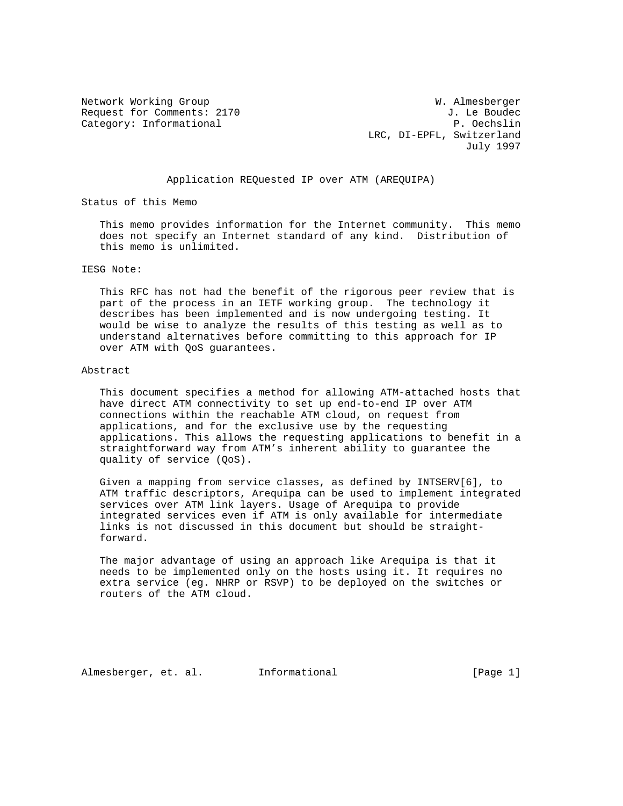Request for Comments: 2170 J. Le Boudec Category: Informational P. Oechslin

Network Working Group Website Communications and Muslim W. Almesberger LRC, DI-EPFL, Switzerland July 1997

## Application REQuested IP over ATM (AREQUIPA)

Status of this Memo

 This memo provides information for the Internet community. This memo does not specify an Internet standard of any kind. Distribution of this memo is unlimited.

### IESG Note:

 This RFC has not had the benefit of the rigorous peer review that is part of the process in an IETF working group. The technology it describes has been implemented and is now undergoing testing. It would be wise to analyze the results of this testing as well as to understand alternatives before committing to this approach for IP over ATM with QoS guarantees.

## Abstract

 This document specifies a method for allowing ATM-attached hosts that have direct ATM connectivity to set up end-to-end IP over ATM connections within the reachable ATM cloud, on request from applications, and for the exclusive use by the requesting applications. This allows the requesting applications to benefit in a straightforward way from ATM's inherent ability to guarantee the quality of service (QoS).

 Given a mapping from service classes, as defined by INTSERV[6], to ATM traffic descriptors, Arequipa can be used to implement integrated services over ATM link layers. Usage of Arequipa to provide integrated services even if ATM is only available for intermediate links is not discussed in this document but should be straight forward.

 The major advantage of using an approach like Arequipa is that it needs to be implemented only on the hosts using it. It requires no extra service (eg. NHRP or RSVP) to be deployed on the switches or routers of the ATM cloud.

Almesberger, et. al. Informational [Page 1]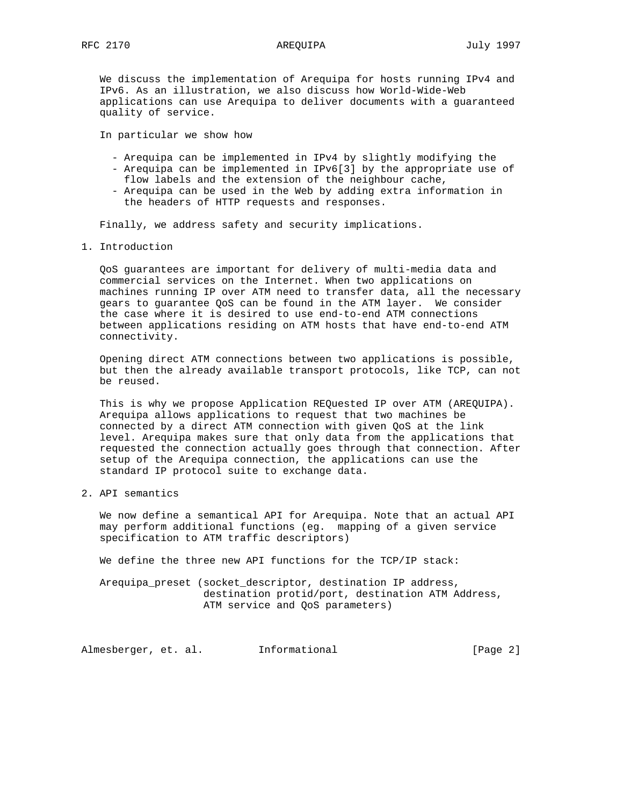We discuss the implementation of Arequipa for hosts running IPv4 and IPv6. As an illustration, we also discuss how World-Wide-Web applications can use Arequipa to deliver documents with a guaranteed quality of service.

In particular we show how

- Arequipa can be implemented in IPv4 by slightly modifying the
- Arequipa can be implemented in IPv6[3] by the appropriate use of flow labels and the extension of the neighbour cache,
- Arequipa can be used in the Web by adding extra information in the headers of HTTP requests and responses.

Finally, we address safety and security implications.

1. Introduction

 QoS guarantees are important for delivery of multi-media data and commercial services on the Internet. When two applications on machines running IP over ATM need to transfer data, all the necessary gears to guarantee QoS can be found in the ATM layer. We consider the case where it is desired to use end-to-end ATM connections between applications residing on ATM hosts that have end-to-end ATM connectivity.

 Opening direct ATM connections between two applications is possible, but then the already available transport protocols, like TCP, can not be reused.

 This is why we propose Application REQuested IP over ATM (AREQUIPA). Arequipa allows applications to request that two machines be connected by a direct ATM connection with given QoS at the link level. Arequipa makes sure that only data from the applications that requested the connection actually goes through that connection. After setup of the Arequipa connection, the applications can use the standard IP protocol suite to exchange data.

2. API semantics

 We now define a semantical API for Arequipa. Note that an actual API may perform additional functions (eg. mapping of a given service specification to ATM traffic descriptors)

We define the three new API functions for the TCP/IP stack:

 Arequipa\_preset (socket\_descriptor, destination IP address, destination protid/port, destination ATM Address, ATM service and QoS parameters)

Almesberger, et. al. 1nformational 1999 [Page 2]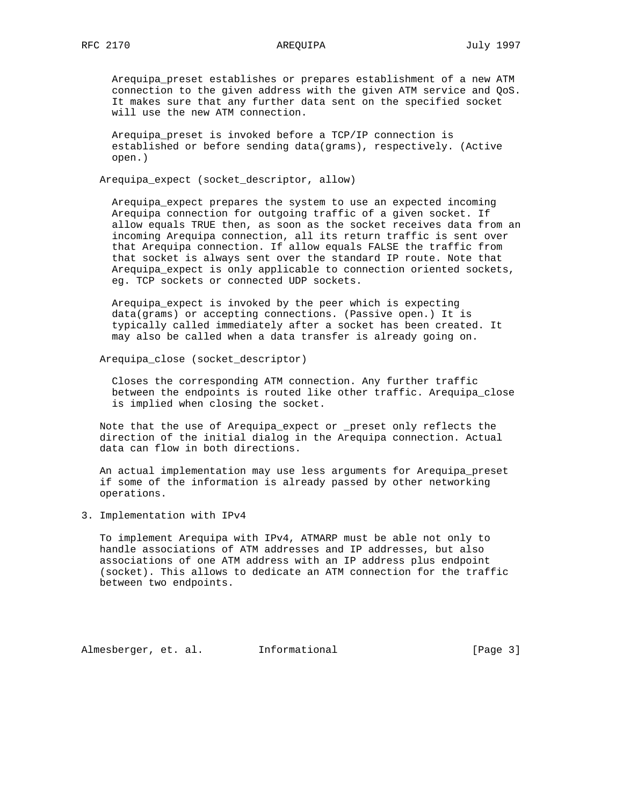Arequipa\_preset establishes or prepares establishment of a new ATM connection to the given address with the given ATM service and QoS. It makes sure that any further data sent on the specified socket will use the new ATM connection.

 Arequipa\_preset is invoked before a TCP/IP connection is established or before sending data(grams), respectively. (Active open.)

Arequipa expect (socket descriptor, allow)

 Arequipa\_expect prepares the system to use an expected incoming Arequipa connection for outgoing traffic of a given socket. If allow equals TRUE then, as soon as the socket receives data from an incoming Arequipa connection, all its return traffic is sent over that Arequipa connection. If allow equals FALSE the traffic from that socket is always sent over the standard IP route. Note that Arequipa\_expect is only applicable to connection oriented sockets, eg. TCP sockets or connected UDP sockets.

 Arequipa\_expect is invoked by the peer which is expecting data(grams) or accepting connections. (Passive open.) It is typically called immediately after a socket has been created. It may also be called when a data transfer is already going on.

Arequipa\_close (socket\_descriptor)

 Closes the corresponding ATM connection. Any further traffic between the endpoints is routed like other traffic. Arequipa\_close is implied when closing the socket.

 Note that the use of Arequipa\_expect or \_preset only reflects the direction of the initial dialog in the Arequipa connection. Actual data can flow in both directions.

 An actual implementation may use less arguments for Arequipa\_preset if some of the information is already passed by other networking operations.

3. Implementation with IPv4

 To implement Arequipa with IPv4, ATMARP must be able not only to handle associations of ATM addresses and IP addresses, but also associations of one ATM address with an IP address plus endpoint (socket). This allows to dedicate an ATM connection for the traffic between two endpoints.

Almesberger, et. al. Informational [Page 3]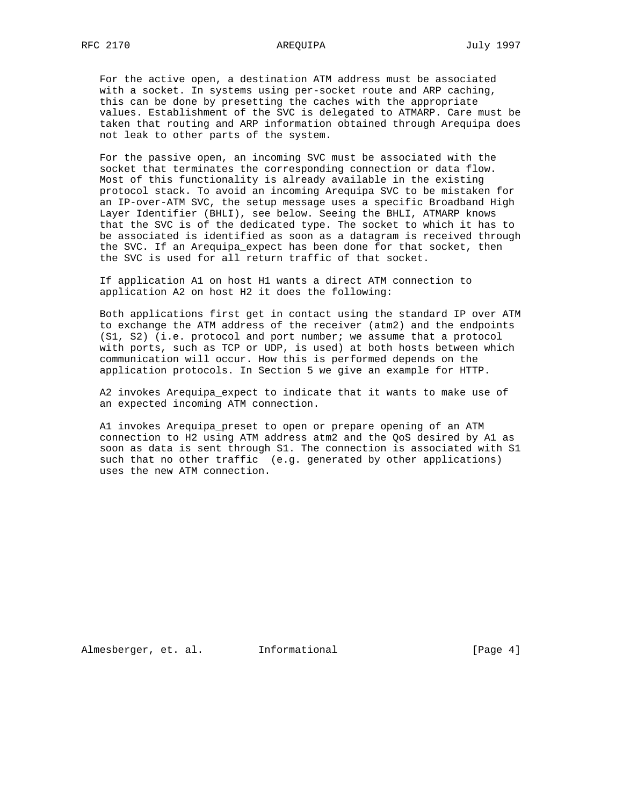For the active open, a destination ATM address must be associated with a socket. In systems using per-socket route and ARP caching, this can be done by presetting the caches with the appropriate values. Establishment of the SVC is delegated to ATMARP. Care must be taken that routing and ARP information obtained through Arequipa does not leak to other parts of the system.

 For the passive open, an incoming SVC must be associated with the socket that terminates the corresponding connection or data flow. Most of this functionality is already available in the existing protocol stack. To avoid an incoming Arequipa SVC to be mistaken for an IP-over-ATM SVC, the setup message uses a specific Broadband High Layer Identifier (BHLI), see below. Seeing the BHLI, ATMARP knows that the SVC is of the dedicated type. The socket to which it has to be associated is identified as soon as a datagram is received through the SVC. If an Arequipa\_expect has been done for that socket, then the SVC is used for all return traffic of that socket.

 If application A1 on host H1 wants a direct ATM connection to application A2 on host H2 it does the following:

 Both applications first get in contact using the standard IP over ATM to exchange the ATM address of the receiver (atm2) and the endpoints (S1, S2) (i.e. protocol and port number; we assume that a protocol with ports, such as TCP or UDP, is used) at both hosts between which communication will occur. How this is performed depends on the application protocols. In Section 5 we give an example for HTTP.

 A2 invokes Arequipa\_expect to indicate that it wants to make use of an expected incoming ATM connection.

 A1 invokes Arequipa\_preset to open or prepare opening of an ATM connection to H2 using ATM address atm2 and the QoS desired by A1 as soon as data is sent through S1. The connection is associated with S1 such that no other traffic (e.g. generated by other applications) uses the new ATM connection.

Almesberger, et. al. Informational [Page 4]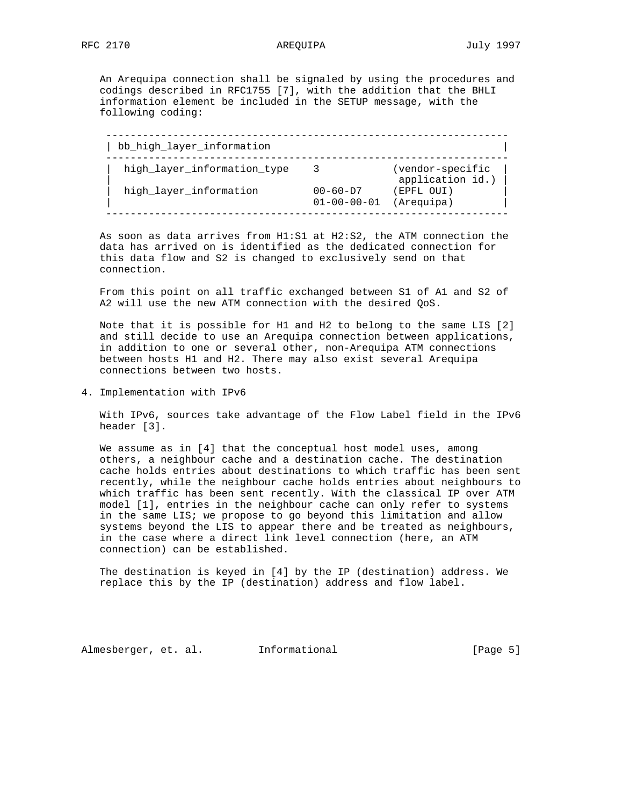An Arequipa connection shall be signaled by using the procedures and codings described in RFC1755 [7], with the addition that the BHLI information element be included in the SETUP message, with the following coding:

| bb_high_layer_information   |                                       |                                      |
|-----------------------------|---------------------------------------|--------------------------------------|
| high_layer_information_type |                                       | (vendor-specific<br>application id.) |
| high_layer_information      | $00 - 60 - D7$<br>$01 - 00 - 00 - 01$ | (EPFL OUI)<br>(Arequipa)             |

 As soon as data arrives from H1:S1 at H2:S2, the ATM connection the data has arrived on is identified as the dedicated connection for this data flow and S2 is changed to exclusively send on that connection.

 From this point on all traffic exchanged between S1 of A1 and S2 of A2 will use the new ATM connection with the desired QoS.

 Note that it is possible for H1 and H2 to belong to the same LIS [2] and still decide to use an Arequipa connection between applications, in addition to one or several other, non-Arequipa ATM connections between hosts H1 and H2. There may also exist several Arequipa connections between two hosts.

4. Implementation with IPv6

 With IPv6, sources take advantage of the Flow Label field in the IPv6 header [3].

We assume as in [4] that the conceptual host model uses, among others, a neighbour cache and a destination cache. The destination cache holds entries about destinations to which traffic has been sent recently, while the neighbour cache holds entries about neighbours to which traffic has been sent recently. With the classical IP over ATM model [1], entries in the neighbour cache can only refer to systems in the same LIS; we propose to go beyond this limitation and allow systems beyond the LIS to appear there and be treated as neighbours, in the case where a direct link level connection (here, an ATM connection) can be established.

 The destination is keyed in [4] by the IP (destination) address. We replace this by the IP (destination) address and flow label.

Almesberger, et. al. Informational [Page 5]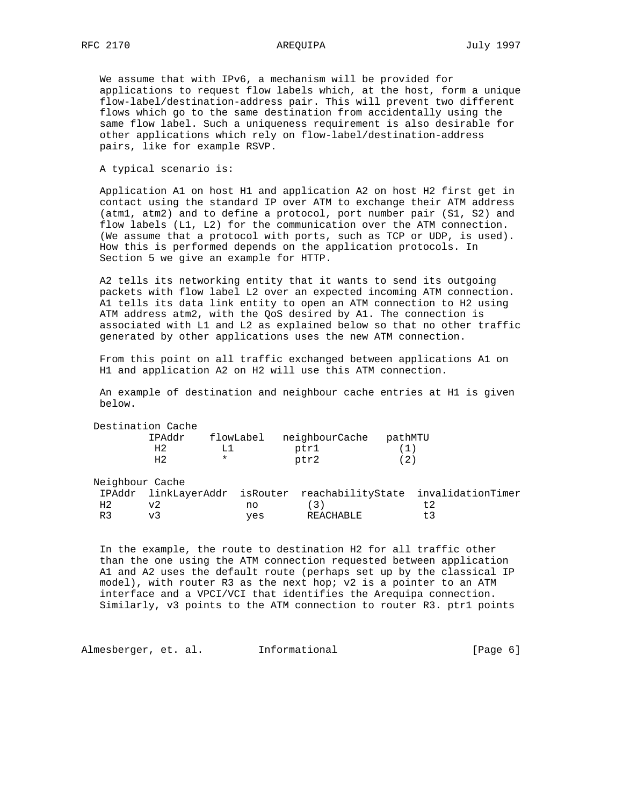We assume that with IPv6, a mechanism will be provided for applications to request flow labels which, at the host, form a unique flow-label/destination-address pair. This will prevent two different flows which go to the same destination from accidentally using the same flow label. Such a uniqueness requirement is also desirable for other applications which rely on flow-label/destination-address pairs, like for example RSVP.

A typical scenario is:

 Application A1 on host H1 and application A2 on host H2 first get in contact using the standard IP over ATM to exchange their ATM address (atm1, atm2) and to define a protocol, port number pair (S1, S2) and flow labels (L1, L2) for the communication over the ATM connection. (We assume that a protocol with ports, such as TCP or UDP, is used). How this is performed depends on the application protocols. In Section 5 we give an example for HTTP.

 A2 tells its networking entity that it wants to send its outgoing packets with flow label L2 over an expected incoming ATM connection. A1 tells its data link entity to open an ATM connection to H2 using ATM address atm2, with the QoS desired by A1. The connection is associated with L1 and L2 as explained below so that no other traffic generated by other applications uses the new ATM connection.

 From this point on all traffic exchanged between applications A1 on H1 and application A2 on H2 will use this ATM connection.

 An example of destination and neighbour cache entries at H1 is given below.

|                 | Destination Cache |          |           |                |         |                                                                   |  |
|-----------------|-------------------|----------|-----------|----------------|---------|-------------------------------------------------------------------|--|
|                 | IPAddr            |          | flowLabel | neighbourCache | pathMTU |                                                                   |  |
|                 | H2                | L1       |           | ptr1           |         |                                                                   |  |
|                 | H2                | $^\star$ |           | ptr2           | (2)     |                                                                   |  |
| Neighbour Cache |                   |          |           |                |         |                                                                   |  |
|                 |                   |          |           |                |         | IPAddr linkLayerAddr isRouter reachabilityState invalidationTimer |  |
| H <sub>2</sub>  | v2                |          | no        | (3)            |         | t <sub>2</sub>                                                    |  |
| R <sub>3</sub>  | v3                |          | yes       | REACHABLE      |         | $+3$                                                              |  |

 In the example, the route to destination H2 for all traffic other than the one using the ATM connection requested between application A1 and A2 uses the default route (perhaps set up by the classical IP model), with router R3 as the next hop; v2 is a pointer to an ATM interface and a VPCI/VCI that identifies the Arequipa connection. Similarly, v3 points to the ATM connection to router R3. ptr1 points

Almesberger, et. al. Informational (Page 6)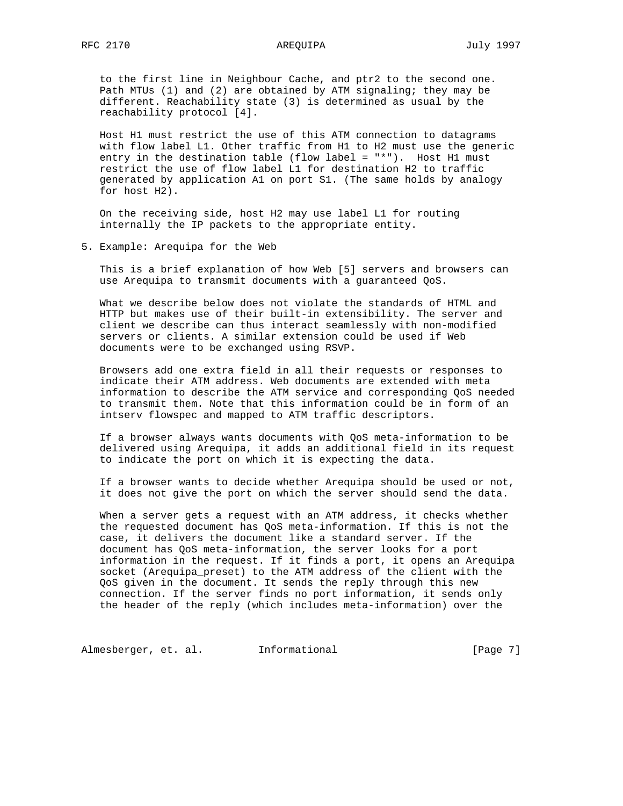# RFC 2170 AREQUIPA July 1997

 to the first line in Neighbour Cache, and ptr2 to the second one. Path MTUs (1) and (2) are obtained by ATM signaling; they may be different. Reachability state (3) is determined as usual by the reachability protocol [4].

 Host H1 must restrict the use of this ATM connection to datagrams with flow label L1. Other traffic from H1 to H2 must use the generic entry in the destination table (flow label = "\*"). Host H1 must restrict the use of flow label L1 for destination H2 to traffic generated by application A1 on port S1. (The same holds by analogy for host H2).

 On the receiving side, host H2 may use label L1 for routing internally the IP packets to the appropriate entity.

5. Example: Arequipa for the Web

 This is a brief explanation of how Web [5] servers and browsers can use Arequipa to transmit documents with a guaranteed QoS.

 What we describe below does not violate the standards of HTML and HTTP but makes use of their built-in extensibility. The server and client we describe can thus interact seamlessly with non-modified servers or clients. A similar extension could be used if Web documents were to be exchanged using RSVP.

 Browsers add one extra field in all their requests or responses to indicate their ATM address. Web documents are extended with meta information to describe the ATM service and corresponding QoS needed to transmit them. Note that this information could be in form of an intserv flowspec and mapped to ATM traffic descriptors.

 If a browser always wants documents with QoS meta-information to be delivered using Arequipa, it adds an additional field in its request to indicate the port on which it is expecting the data.

 If a browser wants to decide whether Arequipa should be used or not, it does not give the port on which the server should send the data.

 When a server gets a request with an ATM address, it checks whether the requested document has QoS meta-information. If this is not the case, it delivers the document like a standard server. If the document has QoS meta-information, the server looks for a port information in the request. If it finds a port, it opens an Arequipa socket (Arequipa\_preset) to the ATM address of the client with the QoS given in the document. It sends the reply through this new connection. If the server finds no port information, it sends only the header of the reply (which includes meta-information) over the

Almesberger, et. al. Informational (Page 7)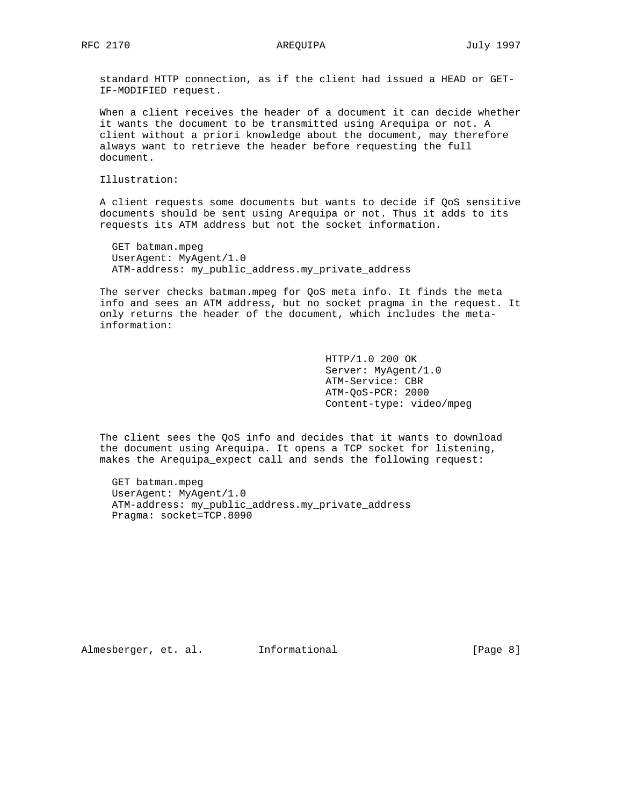standard HTTP connection, as if the client had issued a HEAD or GET- IF-MODIFIED request.

 When a client receives the header of a document it can decide whether it wants the document to be transmitted using Arequipa or not. A client without a priori knowledge about the document, may therefore always want to retrieve the header before requesting the full document.

Illustration:

 A client requests some documents but wants to decide if QoS sensitive documents should be sent using Arequipa or not. Thus it adds to its requests its ATM address but not the socket information.

 GET batman.mpeg UserAgent: MyAgent/1.0 ATM-address: my\_public\_address.my\_private\_address

 The server checks batman.mpeg for QoS meta info. It finds the meta info and sees an ATM address, but no socket pragma in the request. It only returns the header of the document, which includes the meta information:

> HTTP/1.0 200 OK Server: MyAgent/1.0 ATM-Service: CBR ATM-QoS-PCR: 2000 Content-type: video/mpeg

 The client sees the QoS info and decides that it wants to download the document using Arequipa. It opens a TCP socket for listening, makes the Arequipa\_expect call and sends the following request:

 GET batman.mpeg UserAgent: MyAgent/1.0 ATM-address: my\_public\_address.my\_private\_address Pragma: socket=TCP.8090

Almesberger, et. al. Informational [Page 8]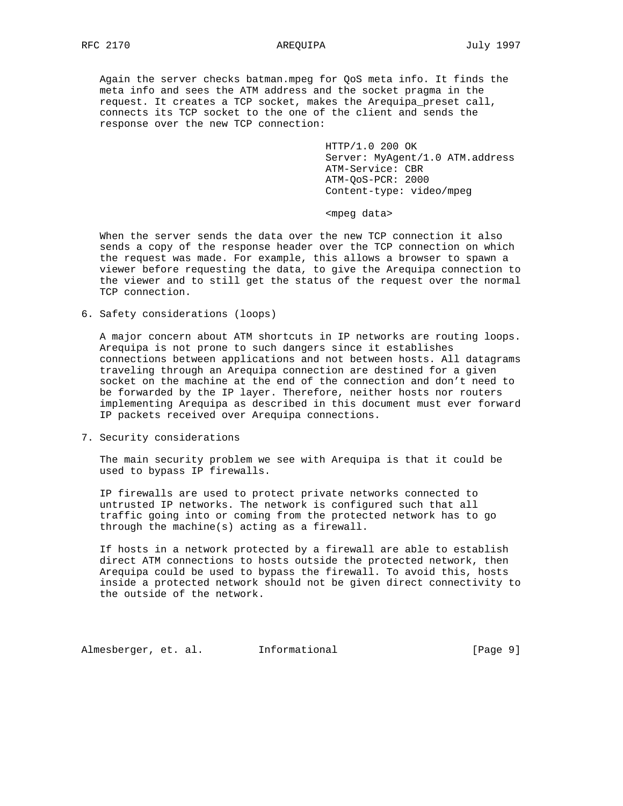Again the server checks batman.mpeg for QoS meta info. It finds the meta info and sees the ATM address and the socket pragma in the request. It creates a TCP socket, makes the Arequipa\_preset call, connects its TCP socket to the one of the client and sends the response over the new TCP connection:

> HTTP/1.0 200 OK Server: MyAgent/1.0 ATM.address ATM-Service: CBR ATM-QoS-PCR: 2000 Content-type: video/mpeg

<mpeg data>

 When the server sends the data over the new TCP connection it also sends a copy of the response header over the TCP connection on which the request was made. For example, this allows a browser to spawn a viewer before requesting the data, to give the Arequipa connection to the viewer and to still get the status of the request over the normal TCP connection.

6. Safety considerations (loops)

 A major concern about ATM shortcuts in IP networks are routing loops. Arequipa is not prone to such dangers since it establishes connections between applications and not between hosts. All datagrams traveling through an Arequipa connection are destined for a given socket on the machine at the end of the connection and don't need to be forwarded by the IP layer. Therefore, neither hosts nor routers implementing Arequipa as described in this document must ever forward IP packets received over Arequipa connections.

7. Security considerations

 The main security problem we see with Arequipa is that it could be used to bypass IP firewalls.

 IP firewalls are used to protect private networks connected to untrusted IP networks. The network is configured such that all traffic going into or coming from the protected network has to go through the machine(s) acting as a firewall.

 If hosts in a network protected by a firewall are able to establish direct ATM connections to hosts outside the protected network, then Arequipa could be used to bypass the firewall. To avoid this, hosts inside a protected network should not be given direct connectivity to the outside of the network.

Almesberger, et. al. Informational [Page 9]